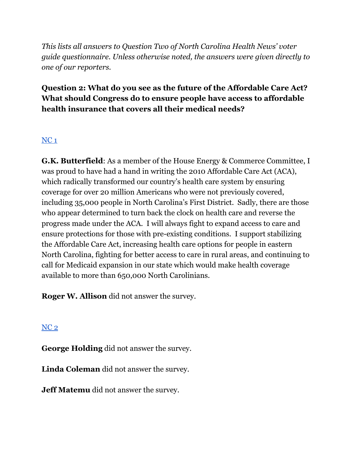*This lists all answers to Question Two of North Carolina Health News' voter guide questionnaire. Unless otherwise noted, the answers were given directly to one of our reporters.*

## **Question 2: What do you see as the future of the Affordable Care Act? What should Congress do to ensure people have access to affordable health insurance that covers all their medical needs?**

## [NC](https://docs.google.com/document/d/1QKoGh33FjmS89YNY1wDfJ6fB9ikH0fC117WjizExMhc/edit?usp=sharing) 1

**G.K. Butterfield**: As a member of the House Energy & Commerce Committee, I was proud to have had a hand in writing the 2010 Affordable Care Act (ACA), which radically transformed our country's health care system by ensuring coverage for over 20 million Americans who were not previously covered, including 35,000 people in North Carolina's First District. Sadly, there are those who appear determined to turn back the clock on health care and reverse the progress made under the ACA. I will always fight to expand access to care and ensure protections for those with pre-existing conditions. I support stabilizing the Affordable Care Act, increasing health care options for people in eastern North Carolina, fighting for better access to care in rural areas, and continuing to call for Medicaid expansion in our state which would make health coverage available to more than 650,000 North Carolinians.

**Roger W. Allison** did not answer the survey.

[NC](https://docs.google.com/document/d/1QKoGh33FjmS89YNY1wDfJ6fB9ikH0fC117WjizExMhc/edit?usp=sharing) 2

**George Holding** did not answer the survey.

**Linda Coleman** did not answer the survey.

**Jeff Matemu** did not answer the survey.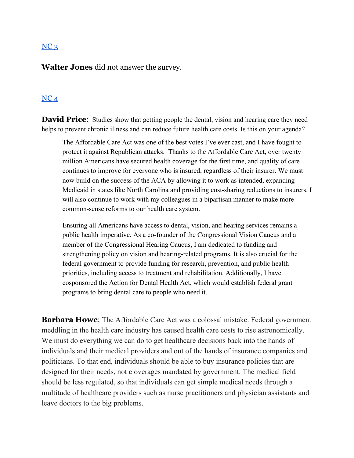#### $NC<sub>3</sub>$  $NC<sub>3</sub>$

**Walter Jones** did not answer the survey.

#### [NC](https://docs.google.com/document/d/1cAsotr6xS9I-V4NP1ueB3T1dzRsHO07YN2hMv9b4xU0/edit?usp=sharing) 4

**David Price:** Studies show that getting people the dental, vision and hearing care they need helps to prevent chronic illness and can reduce future health care costs. Is this on your agenda?

The Affordable Care Act was one of the best votes I've ever cast, and I have fought to protect it against Republican attacks. Thanks to the Affordable Care Act, over twenty million Americans have secured health coverage for the first time, and quality of care continues to improve for everyone who is insured, regardless of their insurer. We must now build on the success of the ACA by allowing it to work as intended, expanding Medicaid in states like North Carolina and providing cost-sharing reductions to insurers. I will also continue to work with my colleagues in a bipartisan manner to make more common-sense reforms to our health care system.

Ensuring all Americans have access to dental, vision, and hearing services remains a public health imperative. As a co-founder of the Congressional Vision Caucus and a member of the Congressional Hearing Caucus, I am dedicated to funding and strengthening policy on vision and hearing-related programs. It is also crucial for the federal government to provide funding for research, prevention, and public health priorities, including access to treatment and rehabilitation. Additionally, I have cosponsored the Action for Dental Health Act, which would establish federal grant programs to bring dental care to people who need it.

**Barbara Howe**: The Affordable Care Act was a colossal mistake. Federal government meddling in the health care industry has caused health care costs to rise astronomically. We must do everything we can do to get healthcare decisions back into the hands of individuals and their medical providers and out of the hands of insurance companies and politicians. To that end, individuals should be able to buy insurance policies that are designed for their needs, not c overages mandated by government. The medical field should be less regulated, so that individuals can get simple medical needs through a multitude of healthcare providers such as nurse practitioners and physician assistants and leave doctors to the big problems.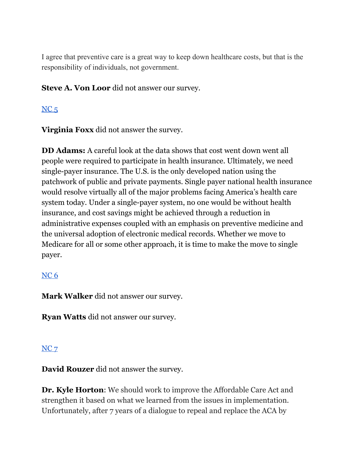I agree that preventive care is a great way to keep down healthcare costs, but that is the responsibility of individuals, not government.

**Steve A. Von Loor** did not answer our survey.

# $NC<sub>5</sub>$  $NC<sub>5</sub>$

**Virginia Foxx** did not answer the survey.

**DD Adams:** A careful look at the data shows that cost went down went all people were required to participate in health insurance. Ultimately, we need single-payer insurance. The U.S. is the only developed nation using the patchwork of public and private payments. Single payer national health insurance would resolve virtually all of the major problems facing America's health care system today. Under a single-payer system, no one would be without health insurance, and cost savings might be achieved through a reduction in administrative expenses coupled with an emphasis on preventive medicine and the universal adoption of electronic medical records. Whether we move to Medicare for all or some other approach, it is time to make the move to single payer.

## [NC](https://docs.google.com/document/d/1cAsotr6xS9I-V4NP1ueB3T1dzRsHO07YN2hMv9b4xU0/edit?usp=sharing) 6

**Mark Walker** did not answer our survey.

**Ryan Watts** did not answer our survey.

## [NC](https://docs.google.com/document/d/1QKoGh33FjmS89YNY1wDfJ6fB9ikH0fC117WjizExMhc/edit?usp=sharing) 7

**David Rouzer** did not answer the survey.

**Dr. Kyle Horton**: We should work to improve the Affordable Care Act and strengthen it based on what we learned from the issues in implementation. Unfortunately, after 7 years of a dialogue to repeal and replace the ACA by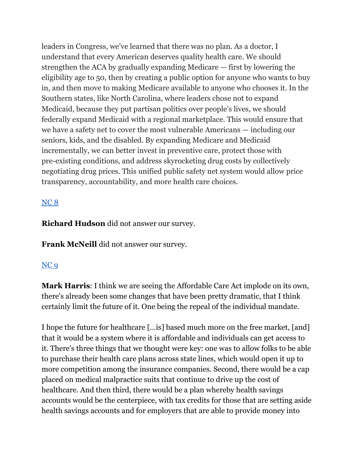leaders in Congress, we've learned that there was no plan. As a doctor, I understand that every American deserves quality health care. We should strengthen the ACA by gradually expanding Medicare — first by lowering the eligibility age to 50, then by creating a public option for anyone who wants to buy in, and then move to making Medicare available to anyone who chooses it. In the Southern states, like North Carolina, where leaders chose not to expand Medicaid, because they put partisan politics over people's lives, we should federally expand Medicaid with a regional marketplace. This would ensure that we have a safety net to cover the most vulnerable Americans — including our seniors, kids, and the disabled. By expanding Medicare and Medicaid incrementally, we can better invest in preventive care, protect those with pre-existing conditions, and address skyrocketing drug costs by collectively negotiating drug prices. This unified public safety net system would allow price transparency, accountability, and more health care choices.

## [NC](https://docs.google.com/document/d/1cAsotr6xS9I-V4NP1ueB3T1dzRsHO07YN2hMv9b4xU0/edit?usp=sharing) 8

**Richard Hudson** did not answer our survey.

**Frank McNeill** did not answer our survey.

## [NC](https://docs.google.com/document/d/1cAsotr6xS9I-V4NP1ueB3T1dzRsHO07YN2hMv9b4xU0/edit?usp=sharing) 9

**Mark Harris**: I think we are seeing the Affordable Care Act implode on its own, there's already been some changes that have been pretty dramatic, that I think certainly limit the future of it. One being the repeal of the individual mandate.

I hope the future for healthcare […is] based much more on the free market, [and] that it would be a system where it is affordable and individuals can get access to it. There's three things that we thought were key: one was to allow folks to be able to purchase their health care plans across state lines, which would open it up to more competition among the insurance companies. Second, there would be a cap placed on medical malpractice suits that continue to drive up the cost of healthcare. And then third, there would be a plan whereby health savings accounts would be the centerpiece, with tax credits for those that are setting aside health savings accounts and for employers that are able to provide money into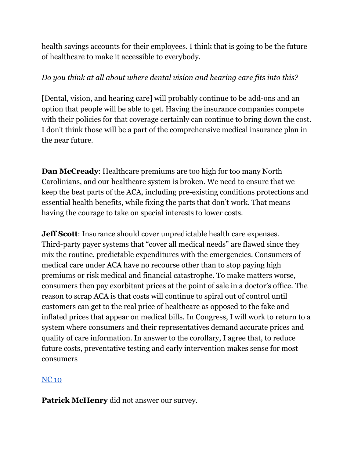health savings accounts for their employees. I think that is going to be the future of healthcare to make it accessible to everybody.

## *Do you think at all about where dental vision and hearing care fits into this?*

[Dental, vision, and hearing care] will probably continue to be add-ons and an option that people will be able to get. Having the insurance companies compete with their policies for that coverage certainly can continue to bring down the cost. I don't think those will be a part of the comprehensive medical insurance plan in the near future.

**Dan McCready**: Healthcare premiums are too high for too many North Carolinians, and our healthcare system is broken. We need to ensure that we keep the best parts of the ACA, including pre-existing conditions protections and essential health benefits, while fixing the parts that don't work. That means having the courage to take on special interests to lower costs.

**Jeff Scott**: Insurance should cover unpredictable health care expenses. Third-party payer systems that "cover all medical needs" are flawed since they mix the routine, predictable expenditures with the emergencies. Consumers of medical care under ACA have no recourse other than to stop paying high premiums or risk medical and financial catastrophe. To make matters worse, consumers then pay exorbitant prices at the point of sale in a doctor's office. The reason to scrap ACA is that costs will continue to spiral out of control until customers can get to the real price of healthcare as opposed to the fake and inflated prices that appear on medical bills. In Congress, I will work to return to a system where consumers and their representatives demand accurate prices and quality of care information. In answer to the corollary, I agree that, to reduce future costs, preventative testing and early intervention makes sense for most consumers

## [NC](https://docs.google.com/document/d/1EwcDTcuh6JGaw8mrxqMd1mif60VC1AoJttBCXQFIKtA/edit?usp=sharing) 10

**Patrick McHenry** did not answer our survey.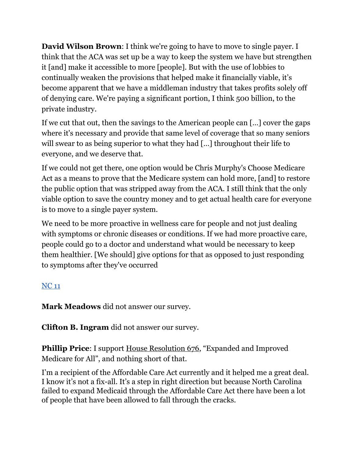**David Wilson Brown**: I think we're going to have to move to single payer. I think that the ACA was set up be a way to keep the system we have but strengthen it [and] make it accessible to more [people]. But with the use of lobbies to continually weaken the provisions that helped make it financially viable, it's become apparent that we have a middleman industry that takes profits solely off of denying care. We're paying a significant portion, I think 500 billion, to the private industry.

If we cut that out, then the savings to the American people can […] cover the gaps where it's necessary and provide that same level of coverage that so many seniors will swear to as being superior to what they had […] throughout their life to everyone, and we deserve that.

If we could not get there, one option would be Chris Murphy's Choose Medicare Act as a means to prove that the Medicare system can hold more, [and] to restore the public option that was stripped away from the ACA. I still think that the only viable option to save the country money and to get actual health care for everyone is to move to a single payer system.

We need to be more proactive in wellness care for people and not just dealing with symptoms or chronic diseases or conditions. If we had more proactive care, people could go to a doctor and understand what would be necessary to keep them healthier. [We should] give options for that as opposed to just responding to symptoms after they've occurred

# [NC](https://docs.google.com/document/d/1EwcDTcuh6JGaw8mrxqMd1mif60VC1AoJttBCXQFIKtA/edit?usp=sharing) 11

**Mark Meadows** did not answer our survey.

**Clifton B. Ingram** did not answer our survey.

**Phillip Price:** I support House [Resolution](https://www.congress.gov/bill/115th-congress/house-bill/676) 676, "Expanded and Improved Medicare for All", and nothing short of that.

I'm a recipient of the Affordable Care Act currently and it helped me a great deal. I know it's not a fix-all. It's a step in right direction but because North Carolina failed to expand Medicaid through the Affordable Care Act there have been a lot of people that have been allowed to fall through the cracks.